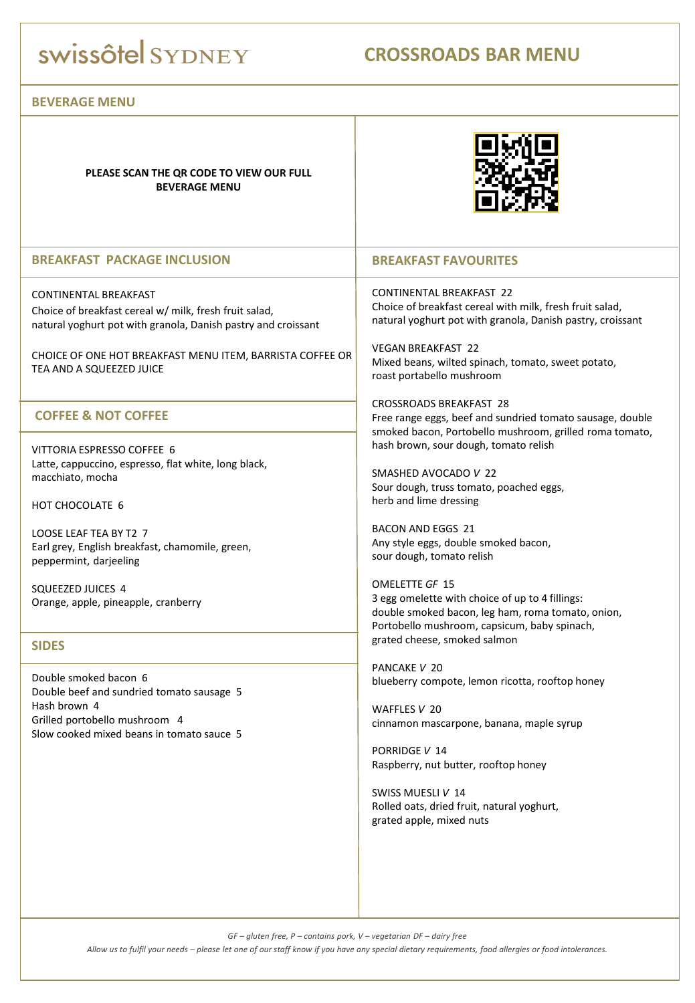## swissôtel SYDNEY

### **CROSSROADS BAR MENU**

#### **BEVERAGE MENU**

**PLEASE SCAN THE QR CODE TO VIEW OUR FULL BEVERAGE MENU**



#### **BREAKFAST PACKAGE INCLUSION**

CONTINENTAL BREAKFAST Choice of breakfast cereal w/ milk, fresh fruit salad, natural yoghurt pot with granola, Danish pastry and croissant

CHOICE OF ONE HOT BREAKFAST MENU ITEM, BARRISTA COFFEE OR TEA AND A SQUEEZED JUICE

#### **COFFEE & NOT COFFEE**

VITTORIA ESPRESSO COFFEE 6 Latte, cappuccino, espresso, flat white, long black, macchiato, mocha

HOT CHOCOLATE 6

LOOSE LEAF TEA BY T2 7 Earl grey, English breakfast, chamomile, green, peppermint, darjeeling

SQUEEZED JUICES 4 Orange, apple, pineapple, cranberry

#### **SIDES**

Double smoked bacon 6 Double beef and sundried tomato sausage 5 Hash brown 4 Grilled portobello mushroom 4 Slow cooked mixed beans in tomato sauce 5

#### **BREAKFAST FAVOURITES**

CONTINENTAL BREAKFAST 22 Choice of breakfast cereal with milk, fresh fruit salad, natural yoghurt pot with granola, Danish pastry, croissant

VEGAN BREAKFAST 22 Mixed beans, wilted spinach, tomato, sweet potato, roast portabello mushroom

CROSSROADS BREAKFAST 28 Free range eggs, beef and sundried tomato sausage, double smoked bacon, Portobello mushroom, grilled roma tomato, hash brown, sour dough, tomato relish

SMASHED AVOCADO *V* 22 Sour dough, truss tomato, poached eggs, herb and lime dressing

BACON AND EGGS 21 Any style eggs, double smoked bacon, sour dough, tomato relish

OMELETTE *GF* 15 3 egg omelette with choice of up to 4 fillings: double smoked bacon, leg ham, roma tomato, onion, Portobello mushroom, capsicum, baby spinach, grated cheese, smoked salmon

PANCAKE *V* 20 blueberry compote, lemon ricotta, rooftop honey

WAFFLES *V* 20 cinnamon mascarpone, banana, maple syrup

PORRIDGE *V* 14 Raspberry, nut butter, rooftop honey

SWISS MUESLI *V* 14 Rolled oats, dried fruit, natural yoghurt, grated apple, mixed nuts

*GF – gluten free, P – contains pork, V – vegetarian DF – dairy free*

*Allow us to fulfil your needs – please let one of our staff know if you have any special dietary requirements, food allergies or food intolerances.*